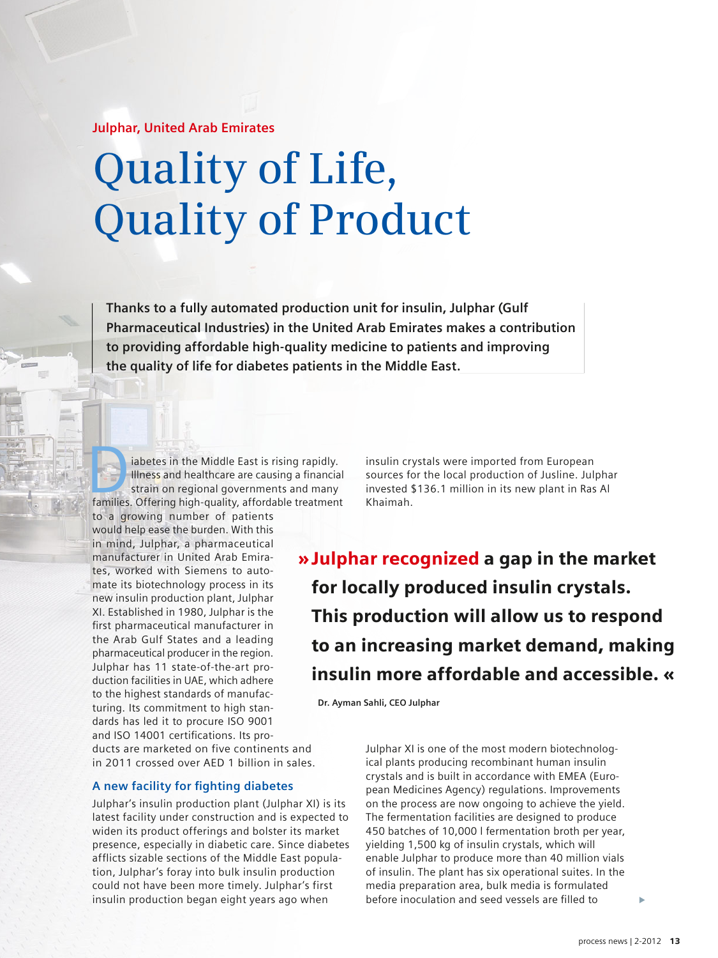**Julphar, United Arab Emirates**

# **Quality of Life, Quality of Product**

**Thanks to a fully automated production unit for insulin, Julphar (Gulf Pharmaceutical Industries) in the United Arab Emirates makes a contribution to providing affordable high-quality medicine to patients and improving the quality of life for diabetes patients in the Middle East.** 

iabetes in the Middle East is rising rapidly.<br>
Illness and healthcare are causing a financial<br>
strain on regional governments and many<br>
families. Offering high-quality, affordable treatment Illness and healthcare are causing a financial strain on regional governments and many

to a growing number of patients would help ease the burden. With this in mind, Julphar, a pharmaceutical manufacturer in United Arab Emirates, worked with Siemens to automate its biotechnology process in its new insulin production plant, Julphar XI. Established in 1980, Julphar is the first pharmaceutical manufacturer in the Arab Gulf States and a leading pharmaceutical producer in the region. Julphar has 11 state-of-the-art production facilities in UAE, which adhere to the highest standards of manufacturing. Its commitment to high standards has led it to procure ISO 9001 and ISO 14001 certifications. Its proinsulin crystals were imported from European sources for the local production of Jusline. Julphar invested \$136.1 million in its new plant in Ras Al Khaimah.

» Julphar recognized a gap in the market for locally produced insulin crystals. This production will allow us to respond to an increasing market demand, making insulin more affordable and accessible. «

**Dr. Ayman Sahli, CEO Julphar**

ducts are marketed on five continents and in 2011 crossed over AED 1 billion in sales.

## **A new facility for fighting diabetes**

Julphar's insulin production plant (Julphar XI) is its latest facility under construction and is expected to widen its product offerings and bolster its market presence, especially in diabetic care. Since diabetes afflicts sizable sections of the Middle East population, Julphar's foray into bulk insulin production could not have been more timely. Julphar's first insulin production began eight years ago when

Julphar XI is one of the most modern biotechnological plants producing recombinant human insulin crystals and is built in accordance with EMEA (European Medicines Agency) regulations. Improvements on the process are now ongoing to achieve the yield. The fermentation facilities are designed to produce 450 batches of 10,000 l fermentation broth per year, yielding 1,500 kg of insulin crystals, which will enable Julphar to produce more than 40 million vials of insulin. The plant has six operational suites. In the media preparation area, bulk media is formulated before inoculation and seed vessels are filled to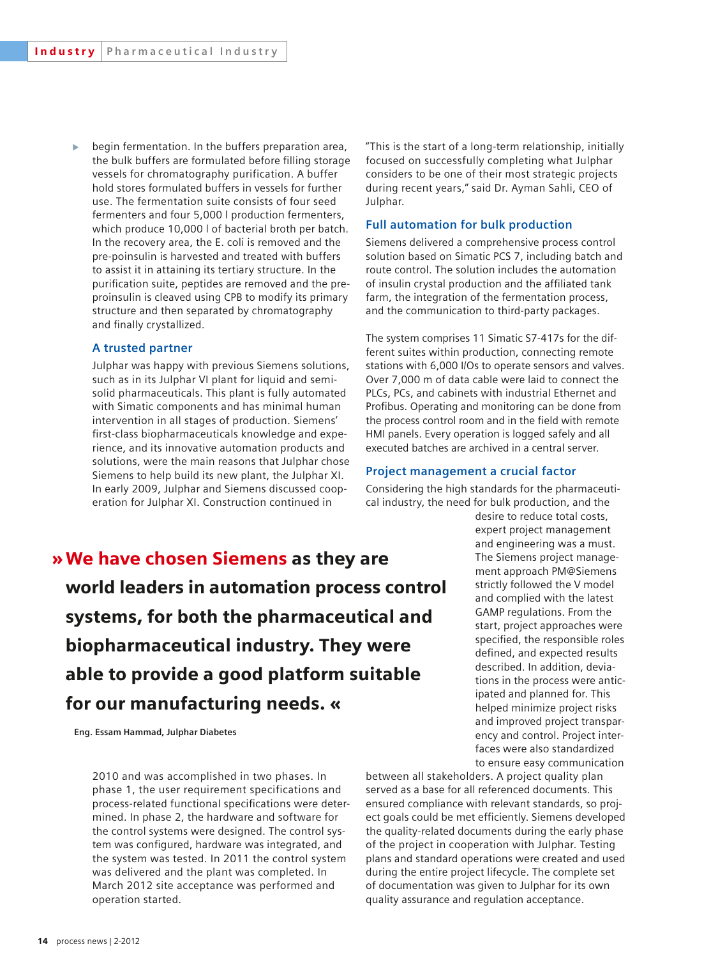$\mathbf{b}$ begin fermentation. In the buffers preparation area, the bulk buffers are formulated before filling storage vessels for chromatography purification. A buffer hold stores formulated buffers in vessels for further use. The fermentation suite consists of four seed fermenters and four 5,000 l production fermenters, which produce 10,000 l of bacterial broth per batch. In the recovery area, the E. coli is removed and the pre-poinsulin is harvested and treated with buffers to assist it in attaining its tertiary structure. In the purification suite, peptides are removed and the preproinsulin is cleaved using CPB to modify its primary structure and then separated by chromatography and finally crystallized.

#### **A trusted partner**

Julphar was happy with previous Siemens solutions, such as in its Julphar VI plant for liquid and semisolid pharmaceuticals. This plant is fully automated with Simatic components and has minimal human intervention in all stages of production. Siemens' first-class biopharmaceuticals knowledge and experience, and its innovative automation products and solutions, were the main reasons that Julphar chose Siemens to help build its new plant, the Julphar XI. In early 2009, Julphar and Siemens discussed cooperation for Julphar XI. Construction continued in

"This is the start of a long-term relationship, initially focused on successfully completing what Julphar considers to be one of their most strategic projects during recent years," said Dr. Ayman Sahli, CEO of Julphar.

## **Full automation for bulk production**

Siemens delivered a comprehensive process control solution based on Simatic PCS 7, including batch and route control. The solution includes the automation of insulin crystal production and the affiliated tank farm, the integration of the fermentation process, and the communication to third-party packages.

The system comprises 11 Simatic S7-417s for the different suites within production, connecting remote stations with 6,000 I/Os to operate sensors and valves. Over 7,000 m of data cable were laid to connect the PLCs, PCs, and cabinets with industrial Ethernet and Profibus. Operating and monitoring can be done from the process control room and in the field with remote HMI panels. Every operation is logged safely and all executed batches are archived in a central server.

#### **Project management a crucial factor**

Considering the high standards for the pharmaceutical industry, the need for bulk production, and the

> desire to reduce total costs, expert project management and engineering was a must. The Siemens project management approach PM@Siemens strictly followed the V model and complied with the latest GAMP regulations. From the start, project approaches were specified, the responsible roles defined, and expected results described. In addition, deviations in the process were anticipated and planned for. This helped minimize project risks and improved project transparency and control. Project interfaces were also standardized to ensure easy communication

» We have chosen Siemens as they are world leaders in automation process control systems, for both the pharmaceutical and biopharmaceutical industry. They were able to provide a good platform suitable for our manufacturing needs. «

 **Eng. Essam Hammad, Julphar Diabetes**

2010 and was accomplished in two phases. In phase 1, the user requirement specifications and process-related functional specifications were determined. In phase 2, the hardware and software for the control systems were designed. The control system was configured, hardware was integrated, and the system was tested. In 2011 the control system was delivered and the plant was completed. In March 2012 site acceptance was performed and operation started.

between all stakeholders. A project quality plan served as a base for all referenced documents. This ensured compliance with relevant standards, so project goals could be met efficiently. Siemens developed the quality-related documents during the early phase of the project in cooperation with Julphar. Testing plans and standard operations were created and used during the entire project lifecycle. The complete set of documentation was given to Julphar for its own quality assurance and regulation acceptance.